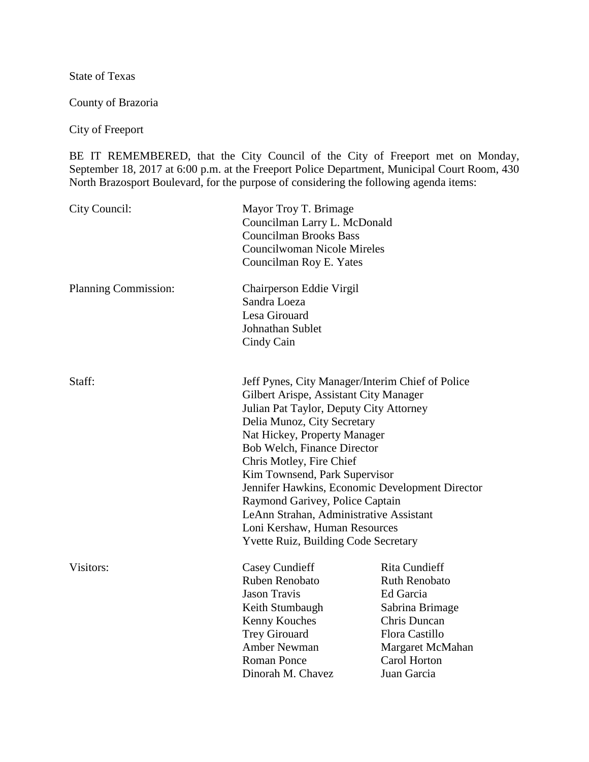State of Texas

County of Brazoria

City of Freeport

BE IT REMEMBERED, that the City Council of the City of Freeport met on Monday, September 18, 2017 at 6:00 p.m. at the Freeport Police Department, Municipal Court Room, 430 North Brazosport Boulevard, for the purpose of considering the following agenda items:

| City Council:        | Mayor Troy T. Brimage<br>Councilman Larry L. McDonald<br><b>Councilman Brooks Bass</b><br><b>Councilwoman Nicole Mireles</b><br>Councilman Roy E. Yates                                                                                                                                                                                                                                                                                                                                                           |                                                                                                                                                                   |
|----------------------|-------------------------------------------------------------------------------------------------------------------------------------------------------------------------------------------------------------------------------------------------------------------------------------------------------------------------------------------------------------------------------------------------------------------------------------------------------------------------------------------------------------------|-------------------------------------------------------------------------------------------------------------------------------------------------------------------|
| Planning Commission: | Chairperson Eddie Virgil<br>Sandra Loeza<br>Lesa Girouard<br>Johnathan Sublet<br>Cindy Cain                                                                                                                                                                                                                                                                                                                                                                                                                       |                                                                                                                                                                   |
| Staff:               | Jeff Pynes, City Manager/Interim Chief of Police<br>Gilbert Arispe, Assistant City Manager<br>Julian Pat Taylor, Deputy City Attorney<br>Delia Munoz, City Secretary<br>Nat Hickey, Property Manager<br>Bob Welch, Finance Director<br>Chris Motley, Fire Chief<br>Kim Townsend, Park Supervisor<br>Jennifer Hawkins, Economic Development Director<br>Raymond Garivey, Police Captain<br>LeAnn Strahan, Administrative Assistant<br>Loni Kershaw, Human Resources<br><b>Yvette Ruiz, Building Code Secretary</b> |                                                                                                                                                                   |
| Visitors:            | Casey Cundieff<br>Ruben Renobato<br><b>Jason Travis</b><br>Keith Stumbaugh<br>Kenny Kouches<br><b>Trey Girouard</b><br><b>Amber Newman</b><br><b>Roman Ponce</b><br>Dinorah M. Chavez                                                                                                                                                                                                                                                                                                                             | <b>Rita Cundieff</b><br><b>Ruth Renobato</b><br>Ed Garcia<br>Sabrina Brimage<br>Chris Duncan<br>Flora Castillo<br>Margaret McMahan<br>Carol Horton<br>Juan Garcia |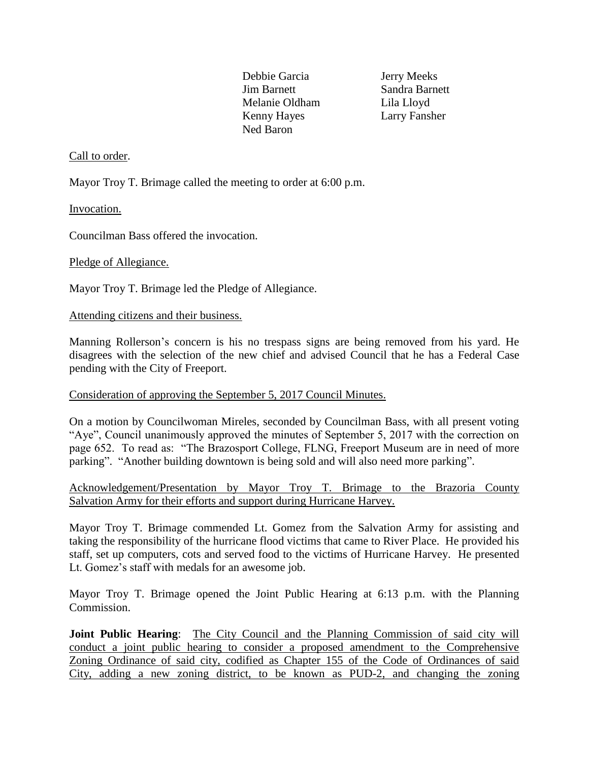Debbie Garcia Jerry Meeks Jim Barnett Sandra Barnett Melanie Oldham Lila Lloyd Kenny Hayes Larry Fansher Ned Baron

# Call to order.

Mayor Troy T. Brimage called the meeting to order at 6:00 p.m.

Invocation.

Councilman Bass offered the invocation.

### Pledge of Allegiance.

Mayor Troy T. Brimage led the Pledge of Allegiance.

#### Attending citizens and their business.

Manning Rollerson's concern is his no trespass signs are being removed from his yard. He disagrees with the selection of the new chief and advised Council that he has a Federal Case pending with the City of Freeport.

### Consideration of approving the September 5, 2017 Council Minutes.

On a motion by Councilwoman Mireles, seconded by Councilman Bass, with all present voting "Aye", Council unanimously approved the minutes of September 5, 2017 with the correction on page 652. To read as: "The Brazosport College, FLNG, Freeport Museum are in need of more parking". "Another building downtown is being sold and will also need more parking".

# Acknowledgement/Presentation by Mayor Troy T. Brimage to the Brazoria County Salvation Army for their efforts and support during Hurricane Harvey.

Mayor Troy T. Brimage commended Lt. Gomez from the Salvation Army for assisting and taking the responsibility of the hurricane flood victims that came to River Place. He provided his staff, set up computers, cots and served food to the victims of Hurricane Harvey. He presented Lt. Gomez's staff with medals for an awesome job.

Mayor Troy T. Brimage opened the Joint Public Hearing at 6:13 p.m. with the Planning Commission.

**Joint Public Hearing:** The City Council and the Planning Commission of said city will conduct a joint public hearing to consider a proposed amendment to the Comprehensive Zoning Ordinance of said city, codified as Chapter 155 of the Code of Ordinances of said City, adding a new zoning district, to be known as PUD-2, and changing the zoning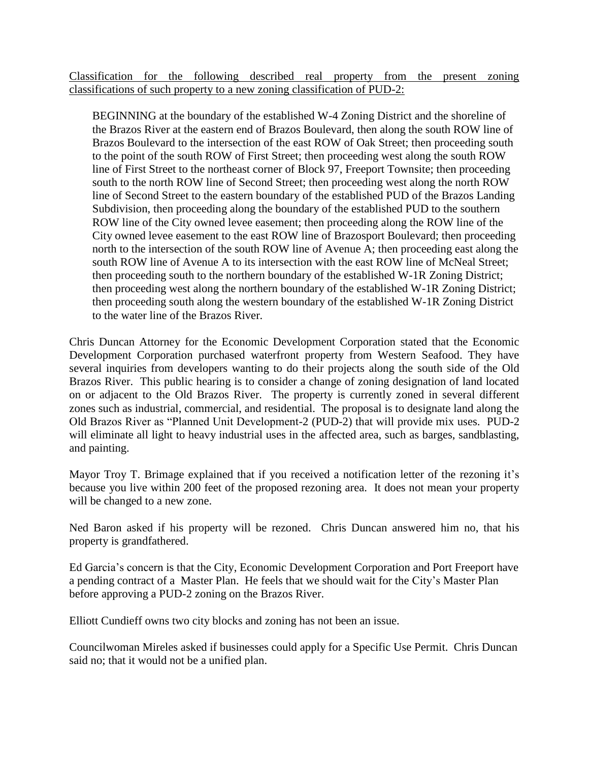Classification for the following described real property from the present zoning classifications of such property to a new zoning classification of PUD-2:

 BEGINNING at the boundary of the established W-4 Zoning District and the shoreline of the Brazos River at the eastern end of Brazos Boulevard, then along the south ROW line of Brazos Boulevard to the intersection of the east ROW of Oak Street; then proceeding south to the point of the south ROW of First Street; then proceeding west along the south ROW line of First Street to the northeast corner of Block 97, Freeport Townsite; then proceeding south to the north ROW line of Second Street; then proceeding west along the north ROW line of Second Street to the eastern boundary of the established PUD of the Brazos Landing Subdivision, then proceeding along the boundary of the established PUD to the southern ROW line of the City owned levee easement; then proceeding along the ROW line of the City owned levee easement to the east ROW line of Brazosport Boulevard; then proceeding north to the intersection of the south ROW line of Avenue A; then proceeding east along the south ROW line of Avenue A to its intersection with the east ROW line of McNeal Street; then proceeding south to the northern boundary of the established W-1R Zoning District; then proceeding west along the northern boundary of the established W-1R Zoning District; then proceeding south along the western boundary of the established W-1R Zoning District to the water line of the Brazos River.

Chris Duncan Attorney for the Economic Development Corporation stated that the Economic Development Corporation purchased waterfront property from Western Seafood. They have several inquiries from developers wanting to do their projects along the south side of the Old Brazos River. This public hearing is to consider a change of zoning designation of land located on or adjacent to the Old Brazos River. The property is currently zoned in several different zones such as industrial, commercial, and residential. The proposal is to designate land along the Old Brazos River as "Planned Unit Development-2 (PUD-2) that will provide mix uses. PUD-2 will eliminate all light to heavy industrial uses in the affected area, such as barges, sandblasting, and painting.

Mayor Troy T. Brimage explained that if you received a notification letter of the rezoning it's because you live within 200 feet of the proposed rezoning area. It does not mean your property will be changed to a new zone.

Ned Baron asked if his property will be rezoned. Chris Duncan answered him no, that his property is grandfathered.

Ed Garcia's concern is that the City, Economic Development Corporation and Port Freeport have a pending contract of a Master Plan. He feels that we should wait for the City's Master Plan before approving a PUD-2 zoning on the Brazos River.

Elliott Cundieff owns two city blocks and zoning has not been an issue.

Councilwoman Mireles asked if businesses could apply for a Specific Use Permit. Chris Duncan said no; that it would not be a unified plan.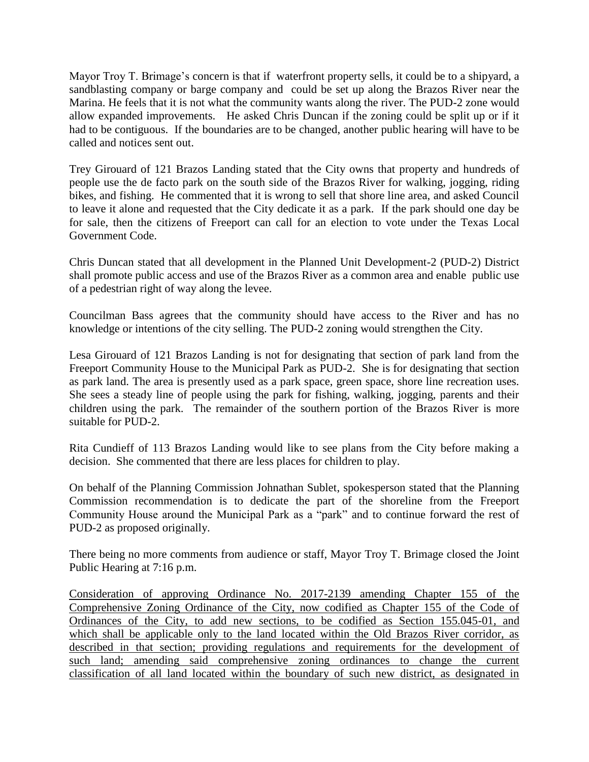Mayor Troy T. Brimage's concern is that if waterfront property sells, it could be to a shipyard, a sandblasting company or barge company and could be set up along the Brazos River near the Marina. He feels that it is not what the community wants along the river. The PUD-2 zone would allow expanded improvements. He asked Chris Duncan if the zoning could be split up or if it had to be contiguous. If the boundaries are to be changed, another public hearing will have to be called and notices sent out.

Trey Girouard of 121 Brazos Landing stated that the City owns that property and hundreds of people use the de facto park on the south side of the Brazos River for walking, jogging, riding bikes, and fishing. He commented that it is wrong to sell that shore line area, and asked Council to leave it alone and requested that the City dedicate it as a park. If the park should one day be for sale, then the citizens of Freeport can call for an election to vote under the Texas Local Government Code.

Chris Duncan stated that all development in the Planned Unit Development-2 (PUD-2) District shall promote public access and use of the Brazos River as a common area and enable public use of a pedestrian right of way along the levee.

Councilman Bass agrees that the community should have access to the River and has no knowledge or intentions of the city selling. The PUD-2 zoning would strengthen the City.

Lesa Girouard of 121 Brazos Landing is not for designating that section of park land from the Freeport Community House to the Municipal Park as PUD-2. She is for designating that section as park land. The area is presently used as a park space, green space, shore line recreation uses. She sees a steady line of people using the park for fishing, walking, jogging, parents and their children using the park. The remainder of the southern portion of the Brazos River is more suitable for PUD-2.

Rita Cundieff of 113 Brazos Landing would like to see plans from the City before making a decision. She commented that there are less places for children to play.

On behalf of the Planning Commission Johnathan Sublet, spokesperson stated that the Planning Commission recommendation is to dedicate the part of the shoreline from the Freeport Community House around the Municipal Park as a "park" and to continue forward the rest of PUD-2 as proposed originally.

There being no more comments from audience or staff, Mayor Troy T. Brimage closed the Joint Public Hearing at 7:16 p.m.

Consideration of approving Ordinance No. 2017-2139 amending Chapter 155 of the Comprehensive Zoning Ordinance of the City, now codified as Chapter 155 of the Code of Ordinances of the City, to add new sections, to be codified as Section 155.045-01, and which shall be applicable only to the land located within the Old Brazos River corridor, as described in that section; providing regulations and requirements for the development of such land; amending said comprehensive zoning ordinances to change the current classification of all land located within the boundary of such new district, as designated in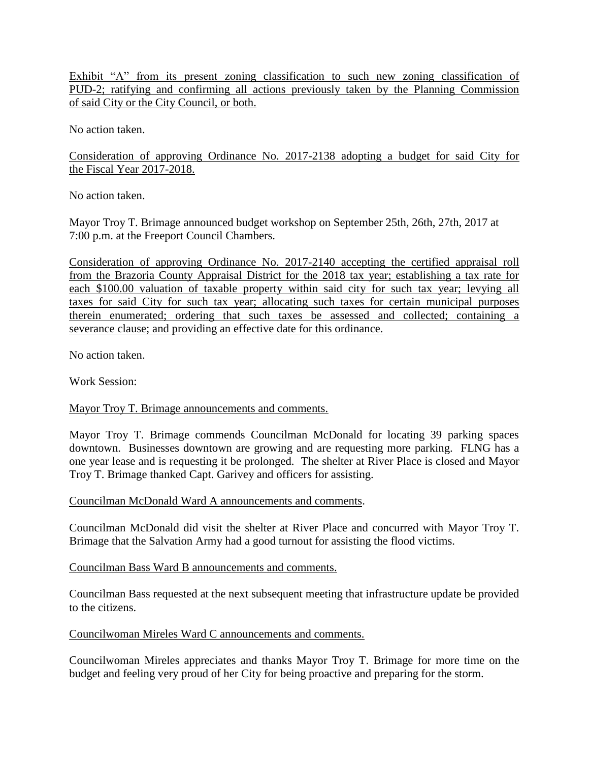Exhibit "A" from its present zoning classification to such new zoning classification of PUD-2; ratifying and confirming all actions previously taken by the Planning Commission of said City or the City Council, or both.

No action taken.

Consideration of approving Ordinance No. 2017-2138 adopting a budget for said City for the Fiscal Year 2017-2018.

No action taken.

Mayor Troy T. Brimage announced budget workshop on September 25th, 26th, 27th, 2017 at 7:00 p.m. at the Freeport Council Chambers.

Consideration of approving Ordinance No. 2017-2140 accepting the certified appraisal roll from the Brazoria County Appraisal District for the 2018 tax year; establishing a tax rate for each \$100.00 valuation of taxable property within said city for such tax year; levying all taxes for said City for such tax year; allocating such taxes for certain municipal purposes therein enumerated; ordering that such taxes be assessed and collected; containing a severance clause; and providing an effective date for this ordinance.

No action taken.

Work Session:

Mayor Troy T. Brimage announcements and comments.

Mayor Troy T. Brimage commends Councilman McDonald for locating 39 parking spaces downtown. Businesses downtown are growing and are requesting more parking. FLNG has a one year lease and is requesting it be prolonged. The shelter at River Place is closed and Mayor Troy T. Brimage thanked Capt. Garivey and officers for assisting.

Councilman McDonald Ward A announcements and comments.

Councilman McDonald did visit the shelter at River Place and concurred with Mayor Troy T. Brimage that the Salvation Army had a good turnout for assisting the flood victims.

Councilman Bass Ward B announcements and comments.

Councilman Bass requested at the next subsequent meeting that infrastructure update be provided to the citizens.

Councilwoman Mireles Ward C announcements and comments.

Councilwoman Mireles appreciates and thanks Mayor Troy T. Brimage for more time on the budget and feeling very proud of her City for being proactive and preparing for the storm.